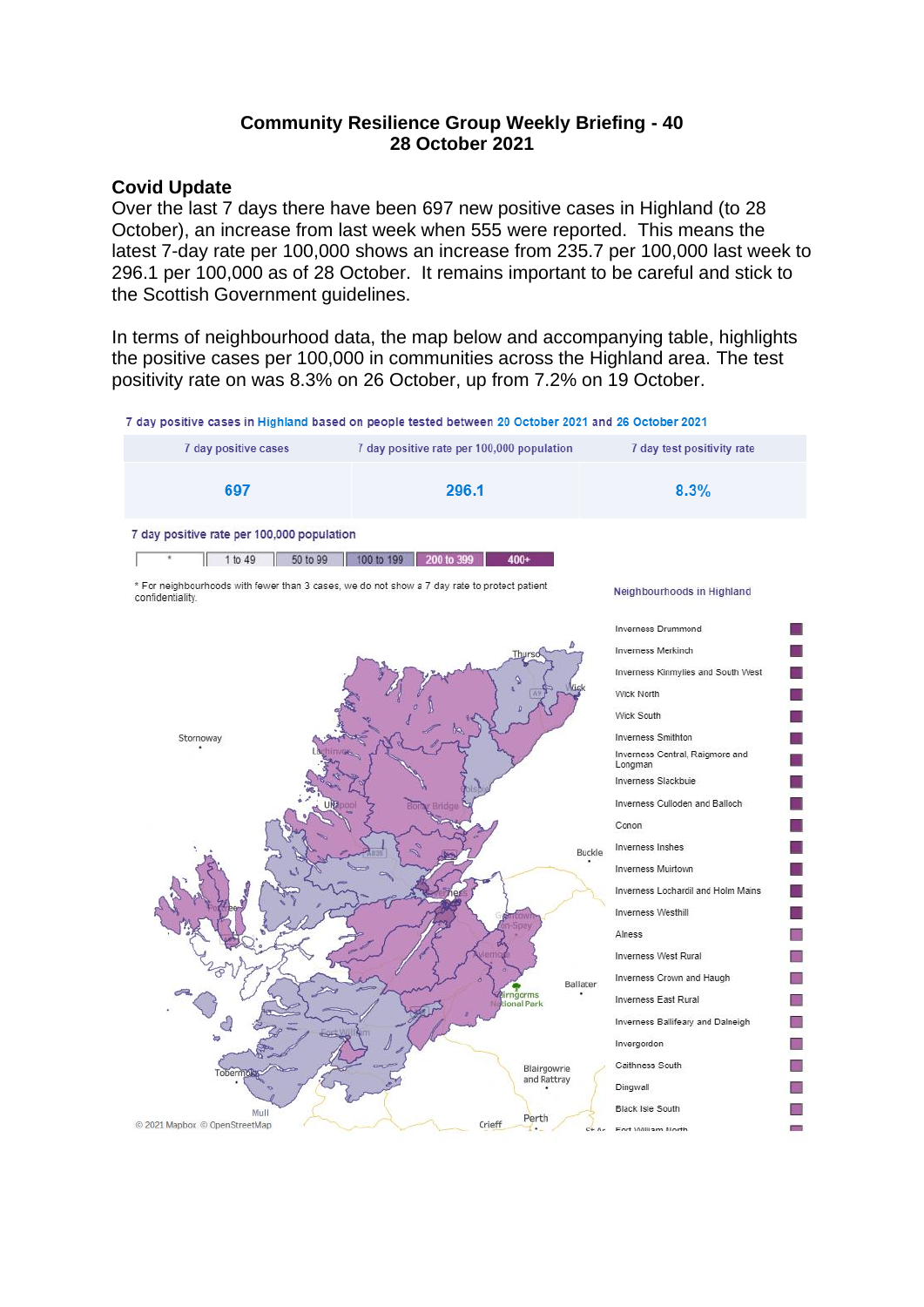## **Community Resilience Group Weekly Briefing - 40 28 October 2021**

#### **Covid Update**

Over the last 7 days there have been 697 new positive cases in Highland (to 28 October), an increase from last week when 555 were reported. This means the latest 7-day rate per 100,000 shows an increase from 235.7 per 100,000 last week to 296.1 per 100,000 as of 28 October. It remains important to be careful and stick to the Scottish Government guidelines.

In terms of neighbourhood data, the map below and accompanying table, highlights the positive cases per 100,000 in communities across the Highland area. The test positivity rate on was 8.3% on 26 October, up from 7.2% on 19 October.

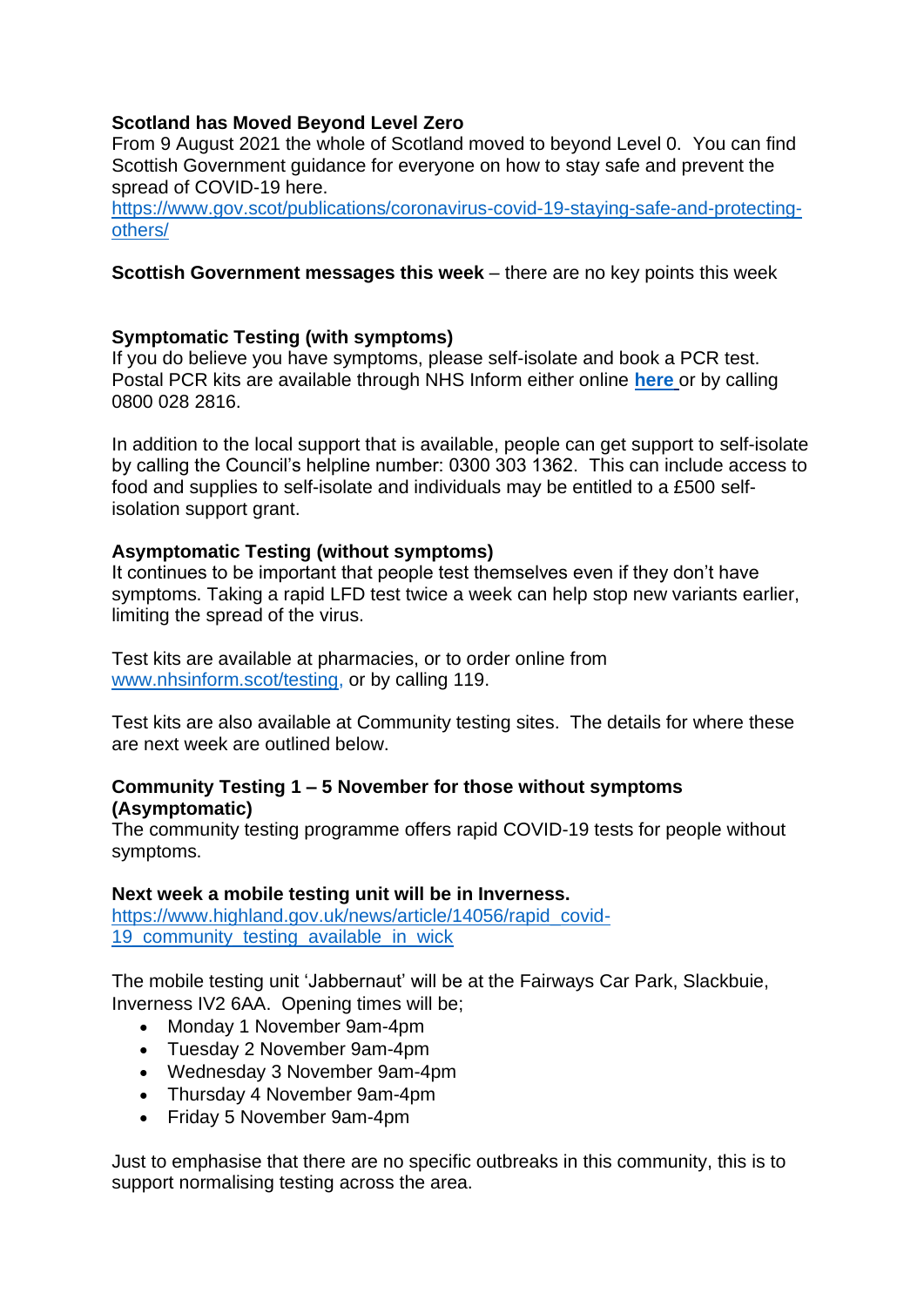# **Scotland has Moved Beyond Level Zero**

From 9 August 2021 the whole of Scotland moved to beyond Level 0. You can find Scottish Government guidance for everyone on how to stay safe and prevent the spread of COVID-19 here.

[https://www.gov.scot/publications/coronavirus-covid-19-staying-safe-and-protecting](https://www.gov.scot/publications/coronavirus-covid-19-staying-safe-and-protecting-others/)[others/](https://www.gov.scot/publications/coronavirus-covid-19-staying-safe-and-protecting-others/)

### **Scottish Government messages this week** – there are no key points this week

### **Symptomatic Testing (with symptoms)**

If you do believe you have symptoms, please self-isolate and book a PCR test. Postal PCR kits are available through NHS Inform either online **[here](https://eur02.safelinks.protection.outlook.com/?url=https%3A%2F%2Fwww.nhsinform.scot%2Fillnesses-and-conditions%2Finfections-and-poisoning%2Fcoronavirus-covid-19%2Ftest-and-protect%2Fcoronavirus-covid-19-how-to-do-a-pcr-test-at-home&data=04%7C01%7C%7C782f2f7756ee483e42e308d94dec951d%7C89f0b56e6d164fe89dba176fa940f7c9%7C0%7C0%7C637626500816082039%7CUnknown%7CTWFpbGZsb3d8eyJWIjoiMC4wLjAwMDAiLCJQIjoiV2luMzIiLCJBTiI6Ik1haWwiLCJXVCI6Mn0%3D%7C1000&sdata=Y%2BavkxLVdZX7n9HajM7JAMRH0o5v7yj1NIhNsrPP9Tg%3D&reserved=0)** or by calling 0800 028 2816.

In addition to the local support that is available, people can get support to self-isolate by calling the Council's helpline number: 0300 303 1362. This can include access to food and supplies to self-isolate and individuals may be entitled to a £500 selfisolation support grant.

### **Asymptomatic Testing (without symptoms)**

It continues to be important that people test themselves even if they don't have symptoms. Taking a rapid LFD test twice a week can help stop new variants earlier, limiting the spread of the virus.

Test kits are available at pharmacies, or to order online from [www.nhsinform.scot/testing,](http://www.nhsinform.scot/testing) or by calling 119.

Test kits are also available at Community testing sites. The details for where these are next week are outlined below.

### **Community Testing 1 – 5 November for those without symptoms (Asymptomatic)**

The community testing programme offers rapid COVID-19 tests for people without symptoms.

### **Next week a mobile testing unit will be in Inverness.**

[https://www.highland.gov.uk/news/article/14056/rapid\\_covid-](https://www.highland.gov.uk/news/article/14056/rapid_covid-19_community_testing_available_in_wick)[19\\_community\\_testing\\_available\\_in\\_wick](https://www.highland.gov.uk/news/article/14056/rapid_covid-19_community_testing_available_in_wick)

The mobile testing unit 'Jabbernaut' will be at the Fairways Car Park, Slackbuie, Inverness IV2 6AA. Opening times will be;

- Monday 1 November 9am-4pm
- Tuesday 2 November 9am-4pm
- Wednesday 3 November 9am-4pm
- Thursday 4 November 9am-4pm
- Friday 5 November 9am-4pm

Just to emphasise that there are no specific outbreaks in this community, this is to support normalising testing across the area.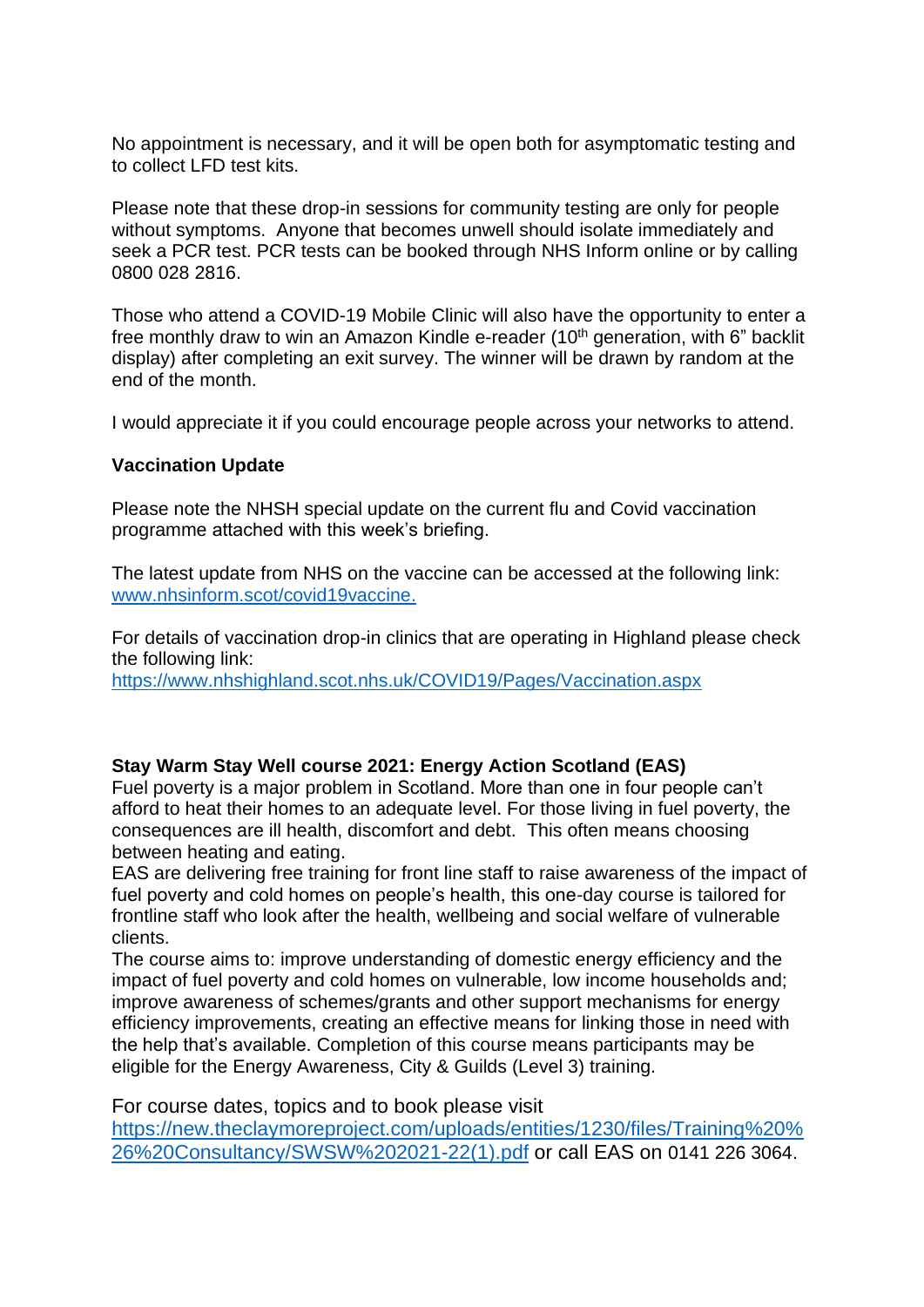No appointment is necessary, and it will be open both for asymptomatic testing and to collect LFD test kits.

Please note that these drop-in sessions for community testing are only for people without symptoms. Anyone that becomes unwell should isolate immediately and seek a PCR test. PCR tests can be booked through NHS Inform online or by calling 0800 028 2816.

Those who attend a COVID-19 Mobile Clinic will also have the opportunity to enter a free monthly draw to win an Amazon Kindle e-reader  $(10<sup>th</sup>$  generation, with 6" backlit display) after completing an exit survey. The winner will be drawn by random at the end of the month.

I would appreciate it if you could encourage people across your networks to attend.

### **Vaccination Update**

Please note the NHSH special update on the current flu and Covid vaccination programme attached with this week's briefing.

The latest update from NHS on the vaccine can be accessed at the following link: [www.nhsinform.scot/covid19vaccine.](http://www.nhsinform.scot/covid19vaccine)

For details of vaccination drop-in clinics that are operating in Highland please check the following link:

<https://www.nhshighland.scot.nhs.uk/COVID19/Pages/Vaccination.aspx>

## **Stay Warm Stay Well course 2021: Energy Action Scotland (EAS)**

Fuel poverty is a major problem in Scotland. More than one in four people can't afford to heat their homes to an adequate level. For those living in fuel poverty, the consequences are ill health, discomfort and debt. This often means choosing between heating and eating.

EAS are delivering free training for front line staff to raise awareness of the impact of fuel poverty and cold homes on people's health, this one-day course is tailored for frontline staff who look after the health, wellbeing and social welfare of vulnerable clients.

The course aims to: improve understanding of domestic energy efficiency and the impact of fuel poverty and cold homes on vulnerable, low income households and; improve awareness of schemes/grants and other support mechanisms for energy efficiency improvements, creating an effective means for linking those in need with the help that's available. Completion of this course means participants may be eligible for the Energy Awareness, City & Guilds (Level 3) training.

For course dates, topics and to book please visit [https://new.theclaymoreproject.com/uploads/entities/1230/files/Training%20%](https://new.theclaymoreproject.com/uploads/entities/1230/files/Training%20%26%20Consultancy/SWSW%202021-22(1).pdf) [26%20Consultancy/SWSW%202021-22\(1\).pdf](https://new.theclaymoreproject.com/uploads/entities/1230/files/Training%20%26%20Consultancy/SWSW%202021-22(1).pdf) or call EAS on 0141 226 3064.